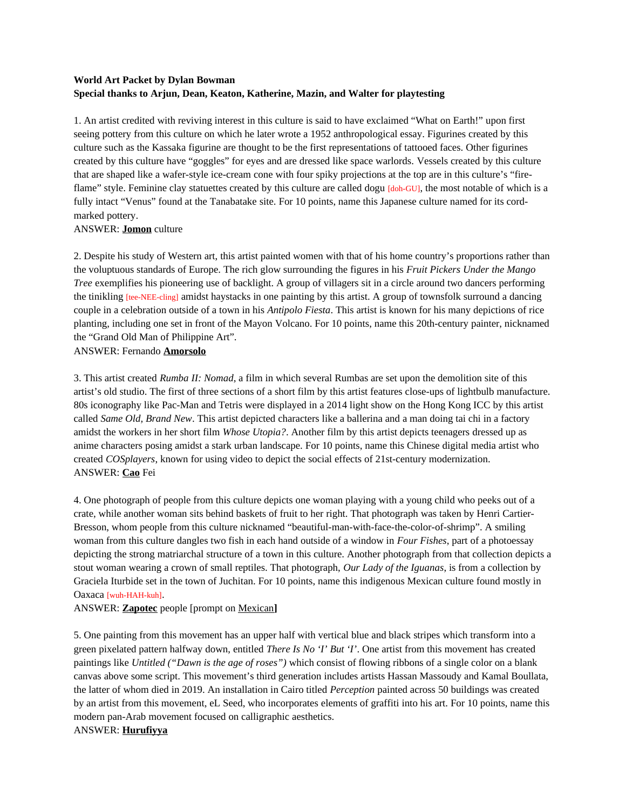# **World Art Packet by Dylan Bowman Special thanks to Arjun, Dean, Keaton, Katherine, Mazin, and Walter for playtesting**

1. An artist credited with reviving interest in this culture is said to have exclaimed "What on Earth!" upon first seeing pottery from this culture on which he later wrote a 1952 anthropological essay. Figurines created by this culture such as the Kassaka figurine are thought to be the first representations of tattooed faces. Other figurines created by this culture have "goggles" for eyes and are dressed like space warlords. Vessels created by this culture that are shaped like a wafer-style ice-cream cone with four spiky projections at the top are in this culture's "fireflame" style. Feminine clay statuettes created by this culture are called dogu [doh-GU], the most notable of which is a fully intact "Venus" found at the Tanabatake site. For 10 points, name this Japanese culture named for its cordmarked pottery.

### ANSWER: **Jomon** culture

2. Despite his study of Western art, this artist painted women with that of his home country's proportions rather than the voluptuous standards of Europe. The rich glow surrounding the figures in his *Fruit Pickers Under the Mango Tree* exemplifies his pioneering use of backlight. A group of villagers sit in a circle around two dancers performing the tinikling *[tee-NEE-cling]* amidst haystacks in one painting by this artist. A group of townsfolk surround a dancing couple in a celebration outside of a town in his *Antipolo Fiesta*. This artist is known for his many depictions of rice planting, including one set in front of the Mayon Volcano. For 10 points, name this 20th-century painter, nicknamed the "Grand Old Man of Philippine Art".

### ANSWER: Fernando **Amorsolo**

3. This artist created *Rumba II: Nomad*, a film in which several Rumbas are set upon the demolition site of this artist's old studio. The first of three sections of a short film by this artist features close-ups of lightbulb manufacture. 80s iconography like Pac-Man and Tetris were displayed in a 2014 light show on the Hong Kong ICC by this artist called *Same Old, Brand New*. This artist depicted characters like a ballerina and a man doing tai chi in a factory amidst the workers in her short film *Whose Utopia?*. Another film by this artist depicts teenagers dressed up as anime characters posing amidst a stark urban landscape. For 10 points, name this Chinese digital media artist who created *COSplayers*, known for using video to depict the social effects of 21st-century modernization. ANSWER: **Cao** Fei

4. One photograph of people from this culture depicts one woman playing with a young child who peeks out of a crate, while another woman sits behind baskets of fruit to her right. That photograph was taken by Henri Cartier-Bresson, whom people from this culture nicknamed "beautiful-man-with-face-the-color-of-shrimp". A smiling woman from this culture dangles two fish in each hand outside of a window in *Four Fishes*, part of a photoessay depicting the strong matriarchal structure of a town in this culture. Another photograph from that collection depicts a stout woman wearing a crown of small reptiles. That photograph, *Our Lady of the Iguanas*, is from a collection by Graciela Iturbide set in the town of Juchitan. For 10 points, name this indigenous Mexican culture found mostly in Oaxaca [wuh-HAH-kuh].

# ANSWER: **Zapotec** people [prompt on Mexican**]**

5. One painting from this movement has an upper half with vertical blue and black stripes which transform into a green pixelated pattern halfway down, entitled *There Is No 'I' But 'I'*. One artist from this movement has created paintings like *Untitled ("Dawn is the age of roses")* which consist of flowing ribbons of a single color on a blank canvas above some script. This movement's third generation includes artists Hassan Massoudy and Kamal Boullata, the latter of whom died in 2019. An installation in Cairo titled *Perception* painted across 50 buildings was created by an artist from this movement, eL Seed, who incorporates elements of graffiti into his art. For 10 points, name this modern pan-Arab movement focused on calligraphic aesthetics.

### ANSWER: **Hurufiyya**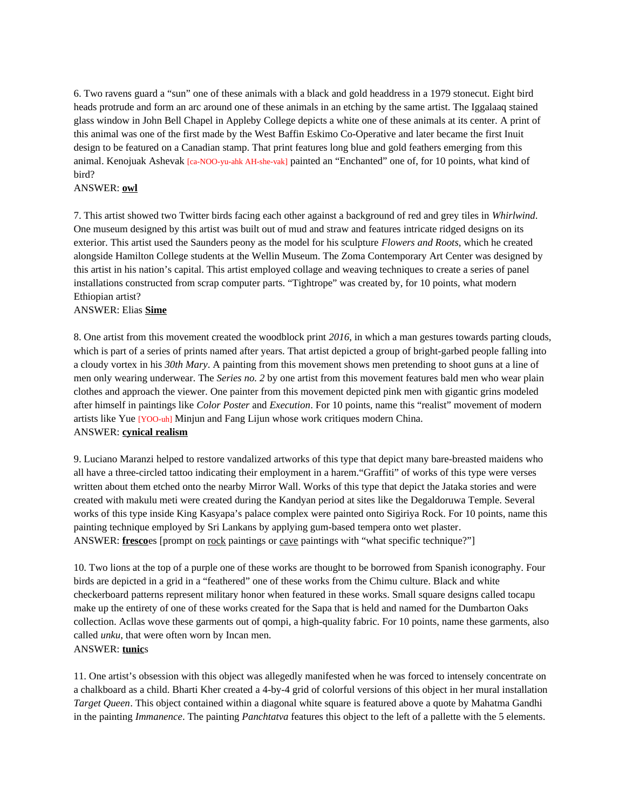6. Two ravens guard a "sun" one of these animals with a black and gold headdress in a 1979 stonecut. Eight bird heads protrude and form an arc around one of these animals in an etching by the same artist. The Iggalaaq stained glass window in John Bell Chapel in Appleby College depicts a white one of these animals at its center. A print of this animal was one of the first made by the West Baffin Eskimo Co-Operative and later became the first Inuit design to be featured on a Canadian stamp. That print features long blue and gold feathers emerging from this animal. Kenojuak Ashevak [ca-NOO-yu-ahk AH-she-vak] painted an "Enchanted" one of, for 10 points, what kind of bird?

#### ANSWER: **owl**

7. This artist showed two Twitter birds facing each other against a background of red and grey tiles in *Whirlwind*. One museum designed by this artist was built out of mud and straw and features intricate ridged designs on its exterior. This artist used the Saunders peony as the model for his sculpture *Flowers and Roots*, which he created alongside Hamilton College students at the Wellin Museum. The Zoma Contemporary Art Center was designed by this artist in his nation's capital. This artist employed collage and weaving techniques to create a series of panel installations constructed from scrap computer parts. "Tightrope" was created by, for 10 points, what modern Ethiopian artist?

#### ANSWER: Elias **Sime**

8. One artist from this movement created the woodblock print *2016*, in which a man gestures towards parting clouds, which is part of a series of prints named after years. That artist depicted a group of bright-garbed people falling into a cloudy vortex in his *30th Mary*. A painting from this movement shows men pretending to shoot guns at a line of men only wearing underwear. The *Series no. 2* by one artist from this movement features bald men who wear plain clothes and approach the viewer. One painter from this movement depicted pink men with gigantic grins modeled after himself in paintings like *Color Poster* and *Execution*. For 10 points, name this "realist" movement of modern artists like Yue [YOO-uh] Minjun and Fang Lijun whose work critiques modern China. ANSWER: **cynical realism**

9. Luciano Maranzi helped to restore vandalized artworks of this type that depict many bare-breasted maidens who all have a three-circled tattoo indicating their employment in a harem."Graffiti" of works of this type were verses written about them etched onto the nearby Mirror Wall. Works of this type that depict the Jataka stories and were created with makulu meti were created during the Kandyan period at sites like the Degaldoruwa Temple. Several works of this type inside King Kasyapa's palace complex were painted onto Sigiriya Rock. For 10 points, name this painting technique employed by Sri Lankans by applying gum-based tempera onto wet plaster. ANSWER: **fresco**es [prompt on rock paintings or cave paintings with "what specific technique?"]

10. Two lions at the top of a purple one of these works are thought to be borrowed from Spanish iconography. Four birds are depicted in a grid in a "feathered" one of these works from the Chimu culture. Black and white checkerboard patterns represent military honor when featured in these works. Small square designs called tocapu make up the entirety of one of these works created for the Sapa that is held and named for the Dumbarton Oaks collection. Acllas wove these garments out of qompi, a high-quality fabric. For 10 points, name these garments, also called *unku*, that were often worn by Incan men.

# ANSWER: **tunic**s

11. One artist's obsession with this object was allegedly manifested when he was forced to intensely concentrate on a chalkboard as a child. Bharti Kher created a 4-by-4 grid of colorful versions of this object in her mural installation *Target Queen*. This object contained within a diagonal white square is featured above a quote by Mahatma Gandhi in the painting *Immanence*. The painting *Panchtatva* features this object to the left of a pallette with the 5 elements.